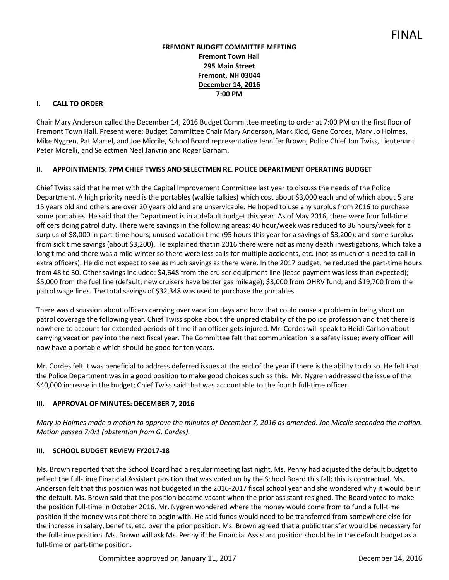# **FREMONT BUDGET COMMITTEE MEETING Fremont Town Hall 295 Main Street Fremont, NH 03044 December 14, 2016 7:00 PM**

### **I. CALL TO ORDER**

Chair Mary Anderson called the December 14, 2016 Budget Committee meeting to order at 7:00 PM on the first floor of Fremont Town Hall. Present were: Budget Committee Chair Mary Anderson, Mark Kidd, Gene Cordes, Mary Jo Holmes, Mike Nygren, Pat Martel, and Joe Miccile, School Board representative Jennifer Brown, Police Chief Jon Twiss, Lieutenant Peter Morelli, and Selectmen Neal Janvrin and Roger Barham.

# **II. APPOINTMENTS: 7PM CHIEF TWISS AND SELECTMEN RE. POLICE DEPARTMENT OPERATING BUDGET**

Chief Twiss said that he met with the Capital Improvement Committee last year to discuss the needs of the Police Department. A high priority need is the portables (walkie talkies) which cost about \$3,000 each and of which about 5 are 15 years old and others are over 20 years old and are unservicable. He hoped to use any surplus from 2016 to purchase some portables. He said that the Department is in a default budget this year. As of May 2016, there were four full-time officers doing patrol duty. There were savings in the following areas: 40 hour/week was reduced to 36 hours/week for a surplus of \$8,000 in part-time hours; unused vacation time (95 hours this year for a savings of \$3,200); and some surplus from sick time savings (about \$3,200). He explained that in 2016 there were not as many death investigations, which take a long time and there was a mild winter so there were less calls for multiple accidents, etc. (not as much of a need to call in extra officers). He did not expect to see as much savings as there were. In the 2017 budget, he reduced the part-time hours from 48 to 30. Other savings included: \$4,648 from the cruiser equipment line (lease payment was less than expected); \$5,000 from the fuel line (default; new cruisers have better gas mileage); \$3,000 from OHRV fund; and \$19,700 from the patrol wage lines. The total savings of \$32,348 was used to purchase the portables.

There was discussion about officers carrying over vacation days and how that could cause a problem in being short on patrol coverage the following year. Chief Twiss spoke about the unpredictability of the police profession and that there is nowhere to account for extended periods of time if an officer gets injured. Mr. Cordes will speak to Heidi Carlson about carrying vacation pay into the next fiscal year. The Committee felt that communication is a safety issue; every officer will now have a portable which should be good for ten years.

Mr. Cordes felt it was beneficial to address deferred issues at the end of the year if there is the ability to do so. He felt that the Police Department was in a good position to make good choices such as this. Mr. Nygren addressed the issue of the \$40,000 increase in the budget; Chief Twiss said that was accountable to the fourth full-time officer.

# **III. APPROVAL OF MINUTES: DECEMBER 7, 2016**

*Mary Jo Holmes made a motion to approve the minutes of December 7, 2016 as amended. Joe Miccile seconded the motion. Motion passed 7:0:1 (abstention from G. Cordes).* 

#### **III. SCHOOL BUDGET REVIEW FY2017-18**

Ms. Brown reported that the School Board had a regular meeting last night. Ms. Penny had adjusted the default budget to reflect the full-time Financial Assistant position that was voted on by the School Board this fall; this is contractual. Ms. Anderson felt that this position was not budgeted in the 2016-2017 fiscal school year and she wondered why it would be in the default. Ms. Brown said that the position became vacant when the prior assistant resigned. The Board voted to make the position full-time in October 2016. Mr. Nygren wondered where the money would come from to fund a full-time position if the money was not there to begin with. He said funds would need to be transferred from somewhere else for the increase in salary, benefits, etc. over the prior position. Ms. Brown agreed that a public transfer would be necessary for the full-time position. Ms. Brown will ask Ms. Penny if the Financial Assistant position should be in the default budget as a full-time or part-time position.

Committee approved on January 11, 2017 The Committee approved on January 11, 2017